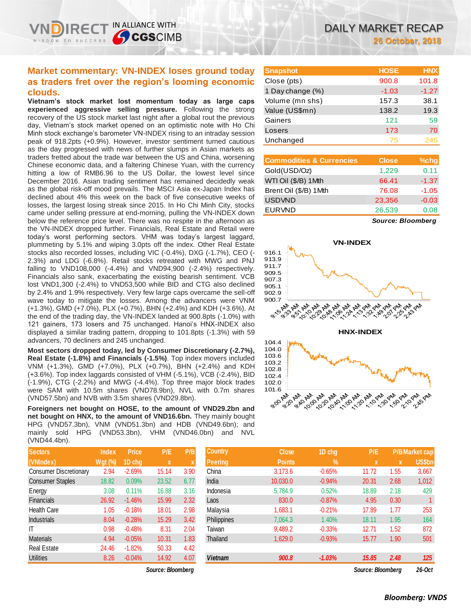IN ALLIANCE WITH

**SCGSCIMB** 

**clouds. Vietnam's stock market lost momentum today as large caps experienced aggressive selling pressure.** Following the strong recovery of the US stock market last night after a global rout the previous day, Vietnam's stock market opened on an optimistic note with Ho Chi Minh stock exchange's barometer VN-INDEX rising to an intraday session peak of 918.2pts (+0.9%). However, investor sentiment turned cautious as the day progressed with news of further slumps in Asian markets as traders fretted about the trade war between the US and China, worsening Chinese economic data, and a faltering Chinese Yuan, with the currency hitting a low of RMB6.96 to the US Dollar, the lowest level since December 2016. Asian trading sentiment has remained decidedly weak as the global risk-off mood prevails. The MSCI Asia ex-Japan Index has declined about 4% this week on the back of five consecutive weeks of losses, the largest losing streak since 2015. In Ho Chi Minh City, stocks came under selling pressure at end-morning, pulling the VN-INDEX down below the reference price level. There was no respite in the afternoon as the VN-INDEX dropped further. Financials, Real Estate and Retail were today's worst performing sectors. VHM was today's largest laggard, plummeting by 5.1% and wiping 3.0pts off the index. Other Real Estate stocks also recorded losses, including VIC (-0.4%), DXG (-1.7%), CEO (- 2.3%) and LDG (-6.8%). Retail stocks retreated with MWG and PNJ falling to VND108,000 (-4.4%) and VND94,900 (-2.4%) respectively. Financials also sank, exacerbating the existing bearish sentiment. VCB lost VND1,300 (-2.4%) to VND53,500 while BID and CTG also declined by 2.4% and 1.9% respectively. Very few large caps overcame the sell-off wave today to mitigate the losses. Among the advancers were VNM (+1.3%), GMD (+7.0%), PLX (+0.7%), BHN (+2.4%) and KDH (+3.6%). At the end of the trading day, the VN-INDEX landed at 900.8pts (-1.0%) with 121 gainers, 173 losers and 75 unchanged. Hanoi's HNX-INDEX also displayed a similar trading pattern, dropping to 101.8pts (-1.3%) with 59 advancers, 70 decliners and 245 unchanged.

**Most sectors dropped today, led by Consumer Discretionary (-2.7%), Real Estate (-1.8%) and Financials (-1.5%)**. Top index movers included VNM (+1.3%), GMD (+7.0%), PLX (+0.7%), BHN (+2.4%) and KDH (+3.6%). Top index laggards consisted of VHM (-5.1%), VCB (-2.4%), BID (-1.9%), CTG (-2.2%) and MWG (-4.4%). Top three major block trades were SAM with 10.5m shares (VND78.9bn), NVL with 0.7m shares (VND57.5bn) and NVB with 3.5m shares (VND29.8bn).

**Foreigners net bought on HOSE, to the amount of VND29.2bn and net bought on HNX, to the amount of VND16.6bn.** They mainly bought HPG (VND57.3bn), VNM (VND51.3bn) and HDB (VND49.6bn); and mainly sold HPG (VND53.3bn), VHM (VND46.0bn) and NVL (VND44.4bn).

| <b>Sectors</b>                | <b>Index</b>   | Price.   | P/E         | P/B  |
|-------------------------------|----------------|----------|-------------|------|
| (VNIndex)                     | <b>Wgt (%)</b> | 1D chg   | $\mathbf x$ | X    |
| <b>Consumer Discretionary</b> | 2.94           | $-2.69%$ | 15.14       | 3.90 |
| <b>Consumer Staples</b>       | 18.82          | 0.09%    | 23.52       | 6.77 |
| Energy                        | 3.08           | 0.11%    | 16.88       | 3.16 |
| <b>Financials</b>             | 26.92          | $-1.46%$ | 15.99       | 2.32 |
| <b>Health Care</b>            | 1.05           | $-0.18%$ | 18.01       | 2.98 |
| <b>Industrials</b>            | 8.04           | $-0.28%$ | 15.29       | 3.42 |
| IT                            | 0.98           | $-0.48%$ | 8.31        | 2.04 |
| <b>Materials</b>              | 4.94           | $-0.05%$ | 10.31       | 1.83 |
| <b>Real Estate</b>            | 24.46          | $-1.82%$ | 50.33       | 4.42 |
| <b>Utilities</b>              | 8.26           | $-0.04%$ | 14.92       | 4.07 |

 $Source: Bloomberg$ 

| <b>Snapshot</b>  | <b>HOSE</b> | <b>HNX</b> |
|------------------|-------------|------------|
| Close (pts)      | 900.8       | 101.8      |
| 1 Day change (%) | $-1.03$     | $-1.27$    |
| Volume (mn shs)  | 157.3       | 38.1       |
| Value (US\$mn)   | 138.2       | 19.3       |
| Gainers          | 121         | 59         |
| Losers           | 173         | 70         |
| Unchanged        | 75          | 245        |

| <b>Close</b> | $%$ chg |
|--------------|---------|
| 1,229        | 0.11    |
| 66.41        | $-1.37$ |
| 76.08        | $-1.05$ |
| 23,356       | $-0.03$ |
| 26,539       | 0.08    |
|              |         |

*Source: Bloomberg*



| <b>Sectors</b>         | <b>Index</b>   | <b>Price</b> | P/E               | P/B  | <b>Country</b> | <b>Close</b>  | 1D chg   | P/E                             |      | <b>P/B Market cap</b> |
|------------------------|----------------|--------------|-------------------|------|----------------|---------------|----------|---------------------------------|------|-----------------------|
| (VNIndex)              | <b>Wgt (%)</b> | 1D chg       | X                 |      | <b>Peering</b> | <b>Points</b> | $\%$     | x                               | X    | US\$bn                |
| Consumer Discretionary | 2.94           | $-2.69%$     | 15.14             | 3.90 | China          | 3.173.6       | $-0.65%$ | 11.72                           | 1.55 | 3,667                 |
| Consumer Staples       | 18.82          | 0.09%        | 23.52             | 6.77 | India          | 10,030.0      | $-0.94%$ | 20.31                           | 2.68 | 1,012                 |
| Energy                 | 3.08           | 0.11%        | 16.88             | 3.16 | Indonesia      | 5,784.9       | 0.52%    | 18.89                           | 2.18 | 429                   |
| <b>Financials</b>      | 26.92          | $-1.46%$     | 15.99             | 2.32 | Laos           | 830.0         | $-0.87%$ | 4.95                            | 0.30 |                       |
| Health Care            | 1.05           | $-0.18%$     | 18.01             | 2.98 | Malaysia       | 1,683.1       | $-0.21%$ | 17.89                           | 1.77 | 253                   |
| Industrials            | 8.04           | $-0.28%$     | 15.29             | 3.42 | Philippines    | 7,064.3       | 1.40%    | 18.11                           | 1.95 | 164                   |
| ΙT                     | 0.98           | $-0.48%$     | 8.31              | 2.04 | Taiwan         | 9,489.2       | $-0.33%$ | 12.71                           | 1.52 | 872                   |
| Materials              | 4.94           | $-0.05%$     | 10.31             | 1.83 | Thailand       | 1,629.0       | $-0.93%$ | 15.77                           | 1.90 | 501                   |
| Real Estate            | 24.46          | $-1.82%$     | 50.33             | 4.42 |                |               |          |                                 |      |                       |
| Utilities              | 8.26           | $-0.04%$     | 14.92             | 4.07 | <b>Vietnam</b> | 900.8         | $-1.03%$ | 15.85                           | 2.48 | 125                   |
|                        |                |              | Source: Bloomberg |      |                |               |          | <b><i>Cource: Bloomberg</i></b> |      | $26$ -Ort             |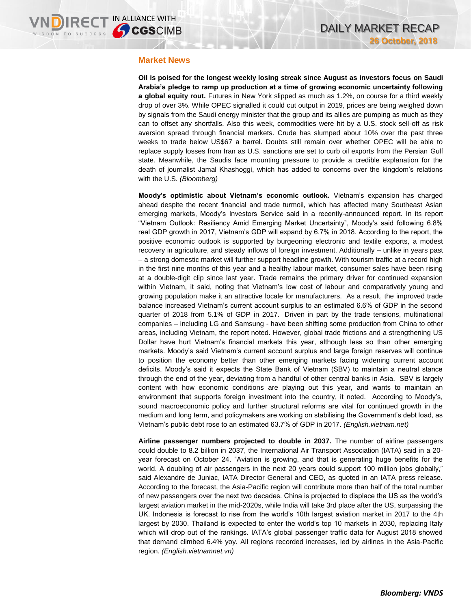## **Market News**

**Oil is poised for the longest weekly losing streak since August as investors focus on Saudi Arabia's pledge to ramp up production at a time of growing economic uncertainty following a global equity rout.** Futures in New York slipped as much as 1.2%, on course for a third weekly drop of over 3%. While OPEC signalled it could cut output in 2019, prices are being weighed down by signals from the Saudi energy minister that the group and its allies are pumping as much as they can to offset any shortfalls. Also this week, commodities were hit by a U.S. stock sell-off as risk aversion spread through financial markets. Crude has slumped about 10% over the past three weeks to trade below US\$67 a barrel. Doubts still remain over whether OPEC will be able to replace supply losses from Iran as U.S. sanctions are set to curb oil exports from the Persian Gulf state. Meanwhile, the Saudis face mounting pressure to provide a credible explanation for the death of journalist Jamal Khashoggi, which has added to concerns over the kingdom's relations with the U.S. *(Bloomberg)*

**Moody's optimistic about Vietnam's economic outlook.** Vietnam's expansion has charged ahead despite the recent financial and trade turmoil, which has affected many Southeast Asian emerging markets, Moody's Investors Service said in a recently-announced report. In its report "Vietnam Outlook: Resiliency Amid Emerging Market Uncertainty", Moody's said following 6.8% real GDP growth in 2017, Vietnam's GDP will expand by 6.7% in 2018. According to the report, the positive economic outlook is supported by burgeoning electronic and textile exports, a modest recovery in agriculture, and steady inflows of foreign investment. Additionally – unlike in years past – a strong domestic market will further support headline growth. With tourism traffic at a record high in the first nine months of this year and a healthy labour market, consumer sales have been rising at a double-digit clip since last year. Trade remains the primary driver for continued expansion within Vietnam, it said, noting that Vietnam's low cost of labour and comparatively young and growing population make it an attractive locale for manufacturers. As a result, the improved trade balance increased Vietnam's current account surplus to an estimated 6.6% of GDP in the second quarter of 2018 from 5.1% of GDP in 2017. Driven in part by the trade tensions, multinational companies – including LG and Samsung - have been shifting some production from China to other areas, including Vietnam, the report noted. However, global trade frictions and a strengthening US Dollar have hurt Vietnam's financial markets this year, although less so than other emerging markets. Moody's said Vietnam's current account surplus and large foreign reserves will continue to position the economy better than other emerging markets facing widening current account deficits. Moody's said it expects the State Bank of Vietnam (SBV) to maintain a neutral stance through the end of the year, deviating from a handful of other central banks in Asia. SBV is largely content with how economic conditions are playing out this year, and wants to maintain an environment that supports foreign investment into the country, it noted. According to Moody's, sound macroeconomic policy and further structural reforms are vital for continued growth in the medium and long term, and policymakers are working on stabilising the Government's debt load, as Vietnam's public debt rose to an estimated 63.7% of GDP in 2017. *(English.vietnam.net)*

**Airline passenger numbers projected to double in 2037.** The number of airline passengers could double to 8.2 billion in 2037, the International Air Transport Association (IATA) said in a 20 year forecast on October 24. "Aviation is growing, and that is generating huge benefits for the world. A doubling of air passengers in the next 20 years could support 100 million jobs globally," said Alexandre de Juniac, IATA Director General and CEO, as quoted in an IATA press release. According to the forecast, the Asia-Pacific region will contribute more than half of the total number of new passengers over the next two decades. China is projected to displace the US as the world's largest aviation market in the mid-2020s, while India will take 3rd place after the US, surpassing the UK. Indonesia is forecast to rise from the world's 10th largest aviation market in 2017 to the 4th largest by 2030. Thailand is expected to enter the world's top 10 markets in 2030, replacing Italy which will drop out of the rankings. IATA's global passenger traffic data for August 2018 showed that demand climbed 6.4% yoy. All regions recorded increases, led by airlines in the Asia-Pacific region. *(English.vietnamnet.vn)*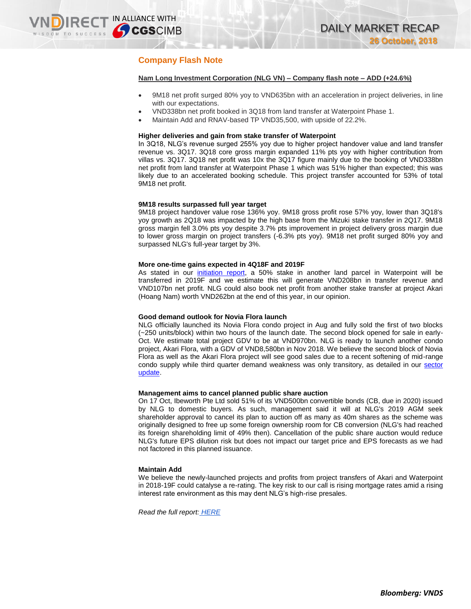# **Company Flash Note**

**IRECT IN ALLIANCE WITH** 

## **Nam Long Investment Corporation (NLG VN) – Company flash note – ADD (+24.6%)**

- 9M18 net profit surged 80% yoy to VND635bn with an acceleration in project deliveries, in line with our expectations.
- VND338bn net profit booked in 3Q18 from land transfer at Waterpoint Phase 1.
- Maintain Add and RNAV-based TP VND35,500, with upside of 22.2%.

## **Higher deliveries and gain from stake transfer of Waterpoint**

In 3Q18, NLG's revenue surged 255% yoy due to higher project handover value and land transfer revenue vs. 3Q17. 3Q18 core gross margin expanded 11% pts yoy with higher contribution from villas vs. 3Q17. 3Q18 net profit was 10x the 3Q17 figure mainly due to the booking of VND338bn net profit from land transfer at Waterpoint Phase 1 which was 51% higher than expected; this was likely due to an accelerated booking schedule. This project transfer accounted for 53% of total 9M18 net profit.

#### **9M18 results surpassed full year target**

9M18 project handover value rose 136% yoy. 9M18 gross profit rose 57% yoy, lower than 3Q18's yoy growth as 2Q18 was impacted by the high base from the Mizuki stake transfer in 2Q17. 9M18 gross margin fell 3.0% pts yoy despite 3.7% pts improvement in project delivery gross margin due to lower gross margin on project transfers (-6.3% pts yoy). 9M18 net profit surged 80% yoy and surpassed NLG's full-year target by 3%.

#### **More one-time gains expected in 4Q18F and 2019F**

As stated in our *[initiation](https://static-02.vndirect.com.vn/uploads/prod/Vietnam-Real-Estate-Sector_initiation_20180823.pdf) report*, a 50% stake in another land parcel in Waterpoint will be transferred in 2019F and we estimate this will generate VND208bn in transfer revenue and VND107bn net profit. NLG could also book net profit from another stake transfer at project Akari (Hoang Nam) worth VND262bn at the end of this year, in our opinion.

#### **Good demand outlook for Novia Flora launch**

NLG officially launched its Novia Flora condo project in Aug and fully sold the first of two blocks (~250 units/block) within two hours of the launch date. The second block opened for sale in early-Oct. We estimate total project GDV to be at VND970bn. NLG is ready to launch another condo project, Akari Flora, with a GDV of VND8,580bn in Nov 2018. We believe the second block of Novia Flora as well as the Akari Flora project will see good sales due to a recent softening of mid-range condo supply while third quarter demand weakness was only transitory, as detailed in our [sector](https://static-02.vndirect.com.vn/uploads/prod/Property-Property-Devt-Invt-Vietnam-201810251436.pdf)  [update.](https://static-02.vndirect.com.vn/uploads/prod/Property-Property-Devt-Invt-Vietnam-201810251436.pdf)

#### **Management aims to cancel planned public share auction**

On 17 Oct, Ibeworth Pte Ltd sold 51% of its VND500bn convertible bonds (CB, due in 2020) issued by NLG to domestic buyers. As such, management said it will at NLG's 2019 AGM seek shareholder approval to cancel its plan to auction off as many as 40m shares as the scheme was originally designed to free up some foreign ownership room for CB conversion (NLG's had reached its foreign shareholding limit of 49% then). Cancellation of the public share auction would reduce NLG's future EPS dilution risk but does not impact our target price and EPS forecasts as we had not factored in this planned issuance.

### **Maintain Add**

We believe the newly-launched projects and profits from project transfers of Akari and Waterpoint in 2018-19F could catalyse a re-rating. The key risk to our call is rising mortgage rates amid a rising interest rate environment as this may dent NLG's high-rise presales.

*Read the full report: [HERE](https://static-02.vndirect.com.vn/uploads/prod/NLG-update-3Q18.pdf)*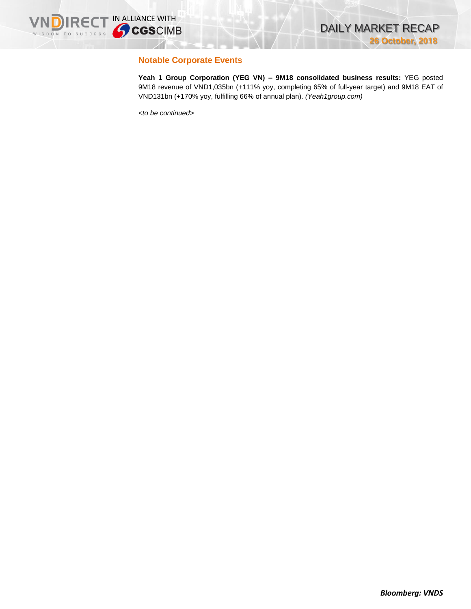

## **Notable Corporate Events**

**Yeah 1 Group Corporation (YEG VN) – 9M18 consolidated business results:** YEG posted 9M18 revenue of VND1,035bn (+111% yoy, completing 65% of full-year target) and 9M18 EAT of VND131bn (+170% yoy, fulfilling 66% of annual plan). *(Yeah1group.com)*

*<to be continued>*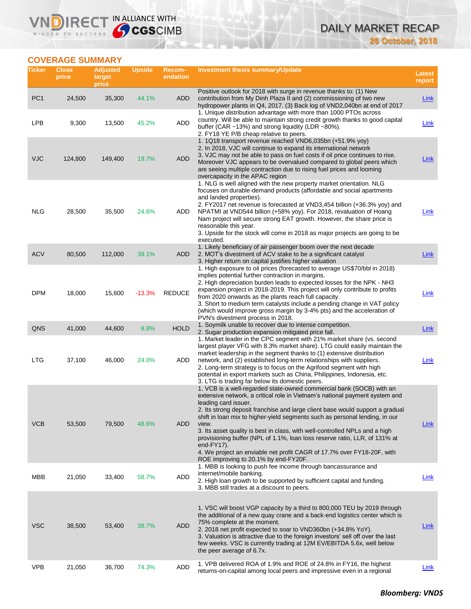# DAILY MARKET RECAP **26 October, 2018**

## **COVERAGE SUMMARY**

WISDOM TO SUCCESS

VND

**IRECT IN ALLIANCE WITH** 

| Ticker          | <b>Close</b><br>price | <b>Adjusted</b><br>target<br>price | <b>Upside</b> | <b>Recom-</b><br>endation | <b>Investment thesis summary/Update</b>                                                                                                                                                                                                                                                                                                                                                                                                                                                                                                                                                                                                           | <b>Latest</b><br>report |
|-----------------|-----------------------|------------------------------------|---------------|---------------------------|---------------------------------------------------------------------------------------------------------------------------------------------------------------------------------------------------------------------------------------------------------------------------------------------------------------------------------------------------------------------------------------------------------------------------------------------------------------------------------------------------------------------------------------------------------------------------------------------------------------------------------------------------|-------------------------|
| PC <sub>1</sub> | 24,500                | 35,300                             | 44.1%         | ADD                       | Positive outlook for 2018 with surge in revenue thanks to: (1) New<br>contribution from My Dinh Plaza II and (2) commissioning of two new<br>hydropower plants in Q4, 2017. (3) Back log of VND2,040bn at end of 2017<br>1. Unique distribution advantage with more than 1000 PTOs across                                                                                                                                                                                                                                                                                                                                                         | <b>Link</b>             |
| <b>LPB</b>      | 9,300                 | 13,500                             | 45.2%         | <b>ADD</b>                | country. Will be able to maintain strong credit growth thanks to good capital<br>buffer (CAR $\sim$ 13%) and strong liquidity (LDR $\sim$ 80%).<br>2. FY18 YE P/B cheap relative to peers.                                                                                                                                                                                                                                                                                                                                                                                                                                                        | Link                    |
| VJC             | 124,800               | 149,400                            | 19.7%         | <b>ADD</b>                | 1. 1Q18 transport revenue reached VND6,035bn (+51.9% yoy)<br>2. In 2018, VJC will continue to expand its international network<br>3. VJC may not be able to pass on fuel costs if oil price continues to rise.<br>Moreover VJC appears to be overvalued compared to global peers which<br>are seeing multiple contraction due to rising fuel prices and looming<br>overcapacity in the APAC region                                                                                                                                                                                                                                                | Link                    |
| NLG             | 28,500                | 35,500                             | 24.6%         | ADD                       | 1. NLG is well aligned with the new property market orientation. NLG<br>focuses on durable-demand products (affordable and social apartments<br>and landed properties).<br>2. FY2017 net revenue is forecasted at VND3,454 billion (+36.3% yoy) and<br>NPATMI at VND544 billion (+58% yoy). For 2018, revaluation of Hoang<br>Nam project will secure strong EAT growth. However, the share price is<br>reasonable this year.<br>3. Upside for the stock will come in 2018 as major projects are going to be<br>executed.                                                                                                                         | <u>Link</u>             |
| <b>ACV</b>      | 80,500                | 112,000                            | 39.1%         | ADD                       | 1. Likely beneficiary of air passenger boom over the next decade<br>2. MOT's divestment of ACV stake to be a significant catalyst<br>3. Higher return on capital justifies higher valuation                                                                                                                                                                                                                                                                                                                                                                                                                                                       | <u>Link</u>             |
| <b>DPM</b>      | 18,000                | 15,600                             | $-13.3%$      | <b>REDUCE</b>             | 1. High exposure to oil prices (forecasted to average US\$70/bbl in 2018)<br>implies potential further contraction in margins.<br>2. High depreciation burden leads to expected losses for the NPK - NH3<br>expansion project in 2018-2019. This project will only contribute to profits<br>from 2020 onwards as the plants reach full capacity.<br>3. Short to medium term catalysts include a pending change in VAT policy<br>(which would improve gross margin by 3-4% pts) and the acceleration of<br>PVN's divestment process in 2018.                                                                                                       | Link                    |
| QNS             | 41,000                | 44,600                             | 8.8%          | <b>HOLD</b>               | 1. Soymilk unable to recover due to intense competition.<br>2. Sugar production expansion mitigated price fall.                                                                                                                                                                                                                                                                                                                                                                                                                                                                                                                                   | <b>Link</b>             |
| <b>LTG</b>      | 37,100                | 46,000                             | 24.0%         | ADD                       | 1. Market leader in the CPC segment with 21% market share (vs. second<br>largest player VFG with 8.3% market share). LTG could easily maintain the<br>market leadership in the segment thanks to (1) extensive distribution<br>network, and (2) established long-term relationships with suppliers.<br>2. Long-term strategy is to focus on the Agrifood segment with high<br>potential in export markets such as China, Philippines, Indonesia, etc.<br>3. LTG is trading far below its domestic peers.                                                                                                                                          | Link                    |
| <b>VCB</b>      | 53,500                | 79,500                             | 48.6%         | <b>ADD</b>                | 1. VCB is a well-regarded state-owned commercial bank (SOCB) with an<br>extensive network, a critical role in Vietnam's national payment system and<br>leading card issuer.<br>2. Its strong deposit franchise and large client base would support a gradual<br>shift in loan mix to higher-yield segments such as personal lending, in our<br>view.<br>3. Its asset quality is best in class, with well-controlled NPLs and a high<br>provisioning buffer (NPL of 1.1%, loan loss reserve ratio, LLR, of 131% at<br>end-FY17).<br>4. We project an enviable net profit CAGR of 17.7% over FY18-20F, with<br>ROE improving to 20.1% by end-FY20F. | Link                    |
| MBB             | 21,050                | 33,400                             | 58.7%         | ADD                       | 1. MBB is looking to push fee income through bancassurance and<br>internet/mobile banking.<br>2. High loan growth to be supported by sufficient capital and funding.<br>3. MBB still trades at a discount to peers.                                                                                                                                                                                                                                                                                                                                                                                                                               | Link                    |
| <b>VSC</b>      | 38,500                | 53,400                             | 38.7%         | <b>ADD</b>                | 1. VSC will boost VGP capacity by a third to 800,000 TEU by 2019 through<br>the additional of a new quay crane and a back-end logistics center which is<br>75% complete at the moment.<br>2. 2018 net profit expected to soar to VND360bn (+34.8% YoY).<br>3. Valuation is attractive due to the foreign investors' sell off over the last<br>few weeks. VSC is currently trading at 12M EV/EBITDA 5.6x, well below<br>the peer average of 6.7x.                                                                                                                                                                                                  | Link                    |
| <b>VPB</b>      | 21,050                | 36,700                             | 74.3%         | ADD                       | 1. VPB delivered ROA of 1.9% and ROE of 24.8% in FY16, the highest<br>returns-on-capital among local peers and impressive even in a regional                                                                                                                                                                                                                                                                                                                                                                                                                                                                                                      | Link                    |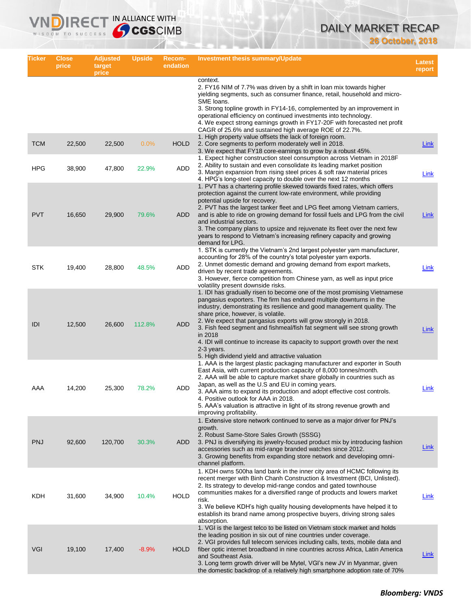# DAILY MARKET RECAP

**26 October, 2018**

| Ticker     | <b>Close</b><br>price | <b>Adjusted</b><br>target<br>price | <b>Upside</b> | <b>Recom-</b><br>endation | <b>Investment thesis summary/Update</b>                                                                                                                                                                                                                                                                                                                                                                                                                                                                                                                                        | <b>Latest</b><br>report |
|------------|-----------------------|------------------------------------|---------------|---------------------------|--------------------------------------------------------------------------------------------------------------------------------------------------------------------------------------------------------------------------------------------------------------------------------------------------------------------------------------------------------------------------------------------------------------------------------------------------------------------------------------------------------------------------------------------------------------------------------|-------------------------|
|            |                       |                                    |               |                           | context.<br>2. FY16 NIM of 7.7% was driven by a shift in loan mix towards higher<br>yielding segments, such as consumer finance, retail, household and micro-<br>SME loans.<br>3. Strong topline growth in FY14-16, complemented by an improvement in<br>operational efficiency on continued investments into technology.<br>4. We expect strong earnings growth in FY17-20F with forecasted net profit<br>CAGR of 25.6% and sustained high average ROE of 22.7%.                                                                                                              |                         |
| <b>TCM</b> | 22,500                | 22,500                             | $0.0\%$       | <b>HOLD</b>               | 1. High property value offsets the lack of foreign room.<br>2. Core segments to perform moderately well in 2018.<br>3. We expect that FY18 core-earnings to grow by a robust 45%.                                                                                                                                                                                                                                                                                                                                                                                              | Link                    |
| <b>HPG</b> | 38,900                | 47,800                             | 22.9%         | ADD                       | 1. Expect higher construction steel consumption across Vietnam in 2018 F<br>2. Ability to sustain and even consolidate its leading market position<br>3. Margin expansion from rising steel prices & soft raw material prices<br>4. HPG's long-steel capacity to double over the next 12 months                                                                                                                                                                                                                                                                                | Link                    |
| <b>PVT</b> | 16,650                | 29,900                             | 79.6%         | ADD                       | 1. PVT has a chartering profile skewed towards fixed rates, which offers<br>protection against the current low-rate environment, while providing<br>potential upside for recovery.<br>2. PVT has the largest tanker fleet and LPG fleet among Vietnam carriers,<br>and is able to ride on growing demand for fossil fuels and LPG from the civil<br>and industrial sectors.<br>3. The company plans to upsize and rejuvenate its fleet over the next few<br>years to respond to Vietnam's increasing refinery capacity and growing<br>demand for LPG.                          | Link                    |
| <b>STK</b> | 19,400                | 28,800                             | 48.5%         | ADD                       | 1. STK is currently the Vietnam's 2nd largest polyester yarn manufacturer,<br>accounting for 28% of the country's total polyester yarn exports.<br>2. Unmet domestic demand and growing demand from export markets,<br>driven by recent trade agreements.<br>3. However, fierce competition from Chinese yarn, as well as input price<br>volatility present downside risks.                                                                                                                                                                                                    | Link                    |
| IDI        | 12,500                | 26,600                             | 112.8%        | <b>ADD</b>                | 1. IDI has gradually risen to become one of the most promising Vietnamese<br>pangasius exporters. The firm has endured multiple downturns in the<br>industry, demonstrating its resilience and good management quality. The<br>share price, however, is volatile.<br>2. We expect that pangasius exports will grow strongly in 2018.<br>3. Fish feed segment and fishmeal/fish fat segment will see strong growth<br>in 2018<br>4. IDI will continue to increase its capacity to support growth over the next<br>2-3 years.<br>5. High dividend yield and attractive valuation | <b>Link</b>             |
| AAA        | 14,200                | 25,300                             | 78.2%         | ADD                       | 1. AAA is the largest plastic packaging manufacturer and exporter in South<br>East Asia, with current production capacity of 8,000 tonnes/month.<br>2. AAA will be able to capture market share globally in countries such as<br>Japan, as well as the U.S and EU in coming years.<br>3. AAA aims to expand its production and adopt effective cost controls.<br>4. Positive outlook for AAA in 2018.<br>5. AAA's valuation is attractive in light of its strong revenue growth and<br>improving profitability.                                                                | Link                    |
| <b>PNJ</b> | 92,600                | 120,700                            | 30.3%         | ADD                       | 1. Extensive store network continued to serve as a major driver for PNJ's<br>growth.<br>2. Robust Same-Store Sales Growth (SSSG)<br>3. PNJ is diversifying its jewelry-focused product mix by introducing fashion<br>accessories such as mid-range branded watches since 2012.<br>3. Growing benefits from expanding store network and developing omni-<br>channel platform.                                                                                                                                                                                                   | Link                    |
| <b>KDH</b> | 31,600                | 34,900                             | 10.4%         | <b>HOLD</b>               | 1. KDH owns 500ha land bank in the inner city area of HCMC following its<br>recent merger with Binh Chanh Construction & Investment (BCI, Unlisted).<br>2. Its strategy to develop mid-range condos and gated townhouse<br>communities makes for a diversified range of products and lowers market<br>risk.<br>3. We believe KDH's high quality housing developments have helped it to<br>establish its brand name among prospective buyers, driving strong sales<br>absorption.                                                                                               | Link                    |
| VGI        | 19,100                | 17,400                             | $-8.9%$       | <b>HOLD</b>               | 1. VGI is the largest telco to be listed on Vietnam stock market and holds<br>the leading position in six out of nine countries under coverage.<br>2. VGI provides full telecom services including calls, texts, mobile data and<br>fiber optic internet broadband in nine countries across Africa, Latin America<br>and Southeast Asia.<br>3. Long term growth driver will be Mytel, VGI's new JV in Myanmar, given<br>the domestic backdrop of a relatively high smartphone adoption rate of 70%                                                                             | Link                    |

**VNDIRECT IN ALLIANCE WITH**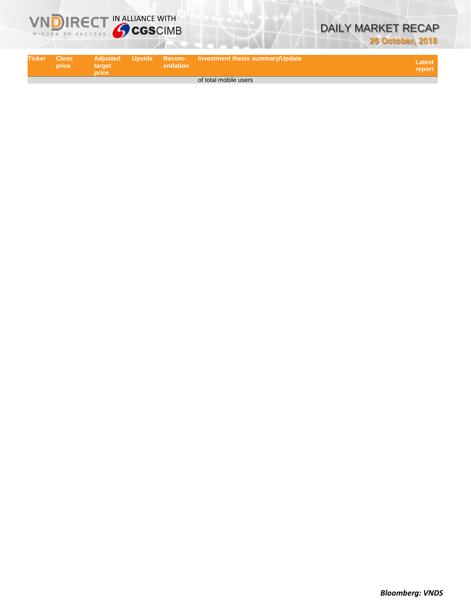



| <b>Ticker</b> | <b>Close</b><br>price | target<br>price | endation | 「 Adjusted  Upside  Recom-  Investment thesis summary/Update 」 | Latest <sup>1</sup><br>report |
|---------------|-----------------------|-----------------|----------|----------------------------------------------------------------|-------------------------------|
|               |                       |                 |          | of total mobile users                                          |                               |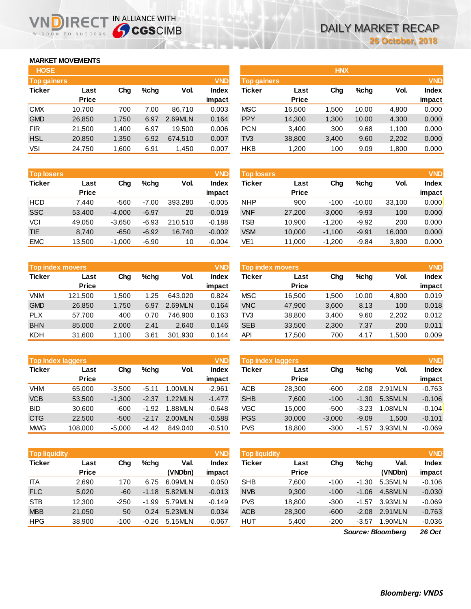## **MARKET MOVEMENTS**

WISDOM TO SUCCESS

| <b>HOSE</b>        |              |       |      |         |              |
|--------------------|--------------|-------|------|---------|--------------|
| <b>Top gainers</b> |              |       |      |         | <b>VND</b>   |
| <b>Ticker</b>      | Last         | Chq   | %chq | Vol.    | <b>Index</b> |
|                    | <b>Price</b> |       |      |         | impact       |
| <b>CMX</b>         | 10,700       | 700   | 7.00 | 86,710  | 0.003        |
| <b>GMD</b>         | 26,850       | 1,750 | 6.97 | 2.69MLN | 0.164        |
| <b>FIR</b>         | 21,500       | 1,400 | 6.97 | 19,500  | 0.006        |
| <b>HSL</b>         | 20,850       | 1,350 | 6.92 | 674,510 | 0.007        |
| VSI                | 24,750       | 1,600 | 6.91 | 1,450   | 0.007        |

**DIRECT IN ALLIANCE WITH** 

| <b>Top losers</b> |              |          |         |         | <b>VND</b>   |
|-------------------|--------------|----------|---------|---------|--------------|
| <b>Ticker</b>     | Last         | Cha      | %chq    | Vol.    | <b>Index</b> |
|                   | <b>Price</b> |          |         |         | impact       |
| HCD               | 7,440        | -560     | $-7.00$ | 393,280 | $-0.005$     |
| <b>SSC</b>        | 53,400       | $-4,000$ | $-6.97$ | 20      | $-0.019$     |
| VCI               | 49,050       | $-3,650$ | $-6.93$ | 210,510 | $-0.188$     |
| <b>TIE</b>        | 8,740        | $-650$   | $-6.92$ | 16,740  | $-0.002$     |
| <b>EMC</b>        | 13,500       | $-1,000$ | $-6.90$ | 10      | $-0.004$     |

| <b>Top index movers</b> |              |       |      |         |              |  |  |  |
|-------------------------|--------------|-------|------|---------|--------------|--|--|--|
| <b>Ticker</b>           | Last         | Cha   | %chq | Vol.    | <b>Index</b> |  |  |  |
|                         | <b>Price</b> |       |      |         | impact       |  |  |  |
| VNM                     | 121,500      | 1,500 | 1.25 | 643.020 | 0.824        |  |  |  |
| <b>GMD</b>              | 26,850       | 1,750 | 6.97 | 2.69MLN | 0.164        |  |  |  |
| <b>PLX</b>              | 57,700       | 400   | 0.70 | 746.900 | 0.163        |  |  |  |
| <b>BHN</b>              | 85,000       | 2,000 | 2.41 | 2,640   | 0.146        |  |  |  |
| <b>KDH</b>              | 31,600       | 1,100 | 3.61 | 301,930 | 0.144        |  |  |  |

| <b>Top index laggers</b> |              |          |         |         |              |  |  |  |
|--------------------------|--------------|----------|---------|---------|--------------|--|--|--|
| <b>Ticker</b>            | Last         | Cha      | %chq    | Vol.    | <b>Index</b> |  |  |  |
|                          | <b>Price</b> |          |         |         | impact       |  |  |  |
| VHM                      | 65,000       | $-3,500$ | $-5.11$ | 1.00MLN | $-2.961$     |  |  |  |
| <b>VCB</b>               | 53,500       | $-1,300$ | $-2.37$ | 1.22MLN | $-1.477$     |  |  |  |
| <b>BID</b>               | 30,600       | -600     | $-1.92$ | 1.88MLN | $-0.648$     |  |  |  |
| <b>CTG</b>               | 22,500       | $-500$   | $-2.17$ | 2.00MLN | $-0.588$     |  |  |  |
| <b>MWG</b>               | 108,000      | $-5,000$ | -4.42   | 849.040 | $-0.510$     |  |  |  |

| <b>Top liquidity</b> |              |        |         |         | <b>VND</b>   |
|----------------------|--------------|--------|---------|---------|--------------|
| <b>Ticker</b>        | Last         | Chq    | %chq    | Val.    | <b>Index</b> |
|                      | <b>Price</b> |        |         | (VNDbn) | impact       |
| <b>ITA</b>           | 2,690        | 170    | 6.75    | 6.09MLN | 0.050        |
| <b>FLC</b>           | 5.020        | $-60$  | $-1.18$ | 5.82MLN | $-0.013$     |
| <b>STB</b>           | 12,300       | $-250$ | $-1.99$ | 5.79MLN | $-0.149$     |
| <b>MBB</b>           | 21,050       | 50     | 0.24    | 5.23MLN | 0.034        |
| <b>HPG</b>           | 38,900       | $-100$ | $-0.26$ | 5.15MLN | $-0.067$     |

| <b>HOSE</b> |              |       |         |         |              |                    |              | <b>HNX</b> |         |       |              |
|-------------|--------------|-------|---------|---------|--------------|--------------------|--------------|------------|---------|-------|--------------|
| Top gainers |              |       |         |         | <b>VND</b>   | <b>Top gainers</b> |              |            |         |       | <b>VND</b>   |
| Ticker      | Last         | Chg   | $%$ chg | Vol.    | <b>Index</b> | Ticker             | Last         | Chg        | $%$ chq | Vol.  | <b>Index</b> |
|             | <b>Price</b> |       |         |         | impact       |                    | <b>Price</b> |            |         |       | impact       |
| <b>CMX</b>  | 10.700       | 700   | 7.00    | 86,710  | 0.003        | <b>MSC</b>         | 16,500       | .500       | 10.00   | 4,800 | 0.000        |
| <b>GMD</b>  | 26,850       | 1,750 | 6.97    | 2.69MLN | 0.164        | <b>PPY</b>         | 14,300       | 1,300      | 10.00   | 4,300 | 0.000        |
| <b>FIR</b>  | 21,500       | 1,400 | 6.97    | 19,500  | 0.006        | <b>PCN</b>         | 3,400        | 300        | 9.68    | 1,100 | 0.000        |
| <b>HSL</b>  | 20,850       | 1,350 | 6.92    | 674.510 | 0.007        | TV <sub>3</sub>    | 38,800       | 3,400      | 9.60    | 2,202 | 0.000        |
| VSI         | 24,750       | 1,600 | 6.91    | 1,450   | 0.007        | <b>HKB</b>         | 1,200        | 100        | 9.09    | 1,800 | 0.000        |
|             |              |       |         |         |              |                    |              |            |         |       |              |

| <b>Top losers</b> |                      |          |         |         | <b>VND</b>             | <b>Top losers</b> |                      |          |          |        | <b>VND</b>             |
|-------------------|----------------------|----------|---------|---------|------------------------|-------------------|----------------------|----------|----------|--------|------------------------|
| <b>Ticker</b>     | Last<br><b>Price</b> | Chg      | $%$ chq | Vol.    | <b>Index</b><br>impact | Ticker            | Last<br><b>Price</b> | Chg      | $%$ chq  | Vol.   | <b>Index</b><br>impact |
| HCD               | 7,440                | $-560$   | $-7.00$ | 393.280 | $-0.005$               | <b>NHP</b>        | 900                  | $-100$   | $-10.00$ | 33.100 | 0.000                  |
| SSC               | 53,400               | $-4,000$ | $-6.97$ | 20      | $-0.019$               | <b>VNF</b>        | 27,200               | $-3,000$ | $-9.93$  | 100    | 0.000                  |
| VCI               | 49,050               | $-3,650$ | $-6.93$ | 210.510 | $-0.188$               | TSB               | 10,900               | $-1,200$ | $-9.92$  | 200    | 0.000                  |
| <b>TIE</b>        | 8,740                | $-650$   | $-6.92$ | 16,740  | $-0.002$               | <b>VSM</b>        | 10,000               | $-1,100$ | $-9.91$  | 16,000 | 0.000                  |
| <b>EMC</b>        | 13,500               | $-1,000$ | $-6.90$ | 10      | $-0.004$               | VE1               | 11,000               | $-1,200$ | $-9.84$  | 3,800  | 0.000                  |
|                   |                      |          |         |         |                        |                   |                      |          |          |        |                        |

| Top index movers |                      |       |      |         | VND                    | <b>Top index movers</b> |                      |       |       |       | <b>VND</b>             |
|------------------|----------------------|-------|------|---------|------------------------|-------------------------|----------------------|-------|-------|-------|------------------------|
| Ticker           | Last<br><b>Price</b> | Chg   | %chq | Vol.    | <b>Index</b><br>impact | Ticker                  | Last<br><b>Price</b> | Chg   | %chq  | Vol.  | <b>Index</b><br>impact |
| <b>VNM</b>       | 121.500              | 1.500 | 1.25 | 643.020 | 0.824                  | <b>MSC</b>              | 16.500               | 1.500 | 10.00 | 4,800 | 0.019                  |
| <b>GMD</b>       | 26,850               | 1,750 | 6.97 | 2.69MLN | 0.164                  | <b>VNC</b>              | 47,900               | 3,600 | 8.13  | 100   | 0.018                  |
| <b>PLX</b>       | 57.700               | 400   | 0.70 | 746.900 | 0.163                  | TV3                     | 38,800               | 3,400 | 9.60  | 2,202 | 0.012                  |
| <b>BHN</b>       | 85,000               | 2,000 | 2.41 | 2.640   | 0.146                  | <b>SEB</b>              | 33,500               | 2,300 | 7.37  | 200   | 0.011                  |
| KDH              | 31,600               | 1,100 | 3.61 | 301,930 | 0.144                  | API                     | 17,500               | 700   | 4.17  | 1,500 | 0.009                  |

|            | <b>Top index laggers</b> |          |         |         | <b>VND</b>      | <b>Top index laggers</b> |                      |          |         |         | <b>VND</b>             |
|------------|--------------------------|----------|---------|---------|-----------------|--------------------------|----------------------|----------|---------|---------|------------------------|
| Ticker     | Last<br><b>Price</b>     | Chg      | $%$ chq | Vol.    | Index<br>impact | Ticker                   | Last<br><b>Price</b> | Chg      | $%$ chq | Vol.    | <b>Index</b><br>impact |
| VHM        | 65.000                   | $-3.500$ | $-5.11$ | 1.00MLN | $-2.961$        | <b>ACB</b>               | 28,300               | $-600$   | $-2.08$ | 2.91MLN | $-0.763$               |
| <b>VCB</b> | 53.500                   | $-1.300$ | $-2.37$ | 1.22MLN | $-1.477$        | <b>SHB</b>               | 7,600                | $-100$   | $-1.30$ | 5.35MLN | $-0.106$               |
| BID        | 30.600                   | $-600$   | $-1.92$ | 1.88MLN | $-0.648$        | VGC                      | 15.000               | $-500$   | $-3.23$ | 1.08MLN | $-0.104$               |
| <b>CTG</b> | 22,500                   | $-500$   | $-2.17$ | 2.00MLN | $-0.588$        | <b>PGS</b>               | 30,000               | $-3.000$ | $-9.09$ | 1.500   | $-0.101$               |
| <b>MWG</b> | 108,000                  | $-5,000$ | $-4.42$ | 849.040 | $-0.510$        | <b>PVS</b>               | 18,800               | $-300$   | $-1.57$ | 3.93MLN | $-0.069$               |

| <b>Top liquidity</b> |              |        |         |         | <b>VND</b> | <b>Top liquidity</b> |              |        |         |                   | <b>VND</b>   |
|----------------------|--------------|--------|---------|---------|------------|----------------------|--------------|--------|---------|-------------------|--------------|
| Ticker               | Last         | Chg    | $%$ chq | Val.    | Index      | Ticker               | Last         | Chg    | $%$ chq | Val.              | <b>Index</b> |
|                      | <b>Price</b> |        |         | (VNDbn) | impact     |                      | <b>Price</b> |        |         | (VNDbn)           | impact       |
| <b>ITA</b>           | 2,690        | 170    | 6.75    | 6.09MLN | 0.050      | <b>SHB</b>           | 7.600        | $-100$ | $-1.30$ | 5.35MLN           | $-0.106$     |
| <b>FLC</b>           | 5,020        | $-60$  | $-1.18$ | 5.82MLN | $-0.013$   | <b>NVB</b>           | 9,300        | $-100$ | $-1.06$ | 4.58MLN           | $-0.030$     |
| <b>STB</b>           | 12.300       | $-250$ | $-1.99$ | 5.79MLN | $-0.149$   | <b>PVS</b>           | 18.800       | $-300$ | $-1.57$ | 3.93MLN           | $-0.069$     |
| <b>MBB</b>           | 21.050       | 50     | 0.24    | 5.23MLN | 0.034      | <b>ACB</b>           | 28,300       | $-600$ | $-2.08$ | 2.91MLN           | $-0.763$     |
| HPG                  | 38,900       | $-100$ | $-0.26$ | 5.15MLN | $-0.067$   | HUT                  | 5,400        | $-200$ | $-3.57$ | 1.90MLN           | $-0.036$     |
|                      |              |        |         |         |            |                      |              |        |         | Carmen, Disambara | $20.0 - 1$   |

*26 Oct Source: Bloomberg*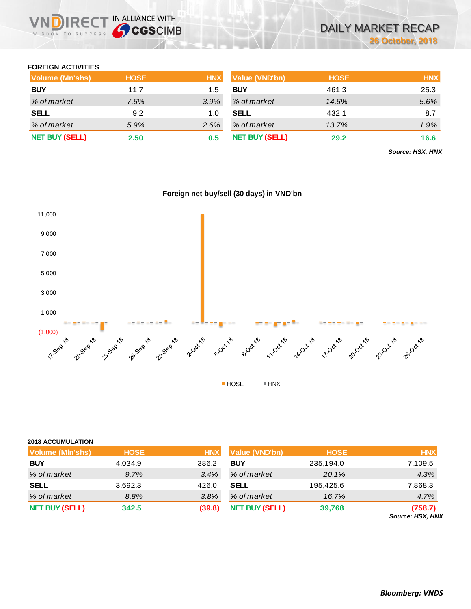

## **FOREIGN ACTIVITIES**

| Volume (Mn'shs)       | <b>HOSE</b> | <b>HNX</b> | Value (VND'bn)        | <b>HOSE</b> | <b>HNX</b> |
|-----------------------|-------------|------------|-----------------------|-------------|------------|
| <b>BUY</b>            | 11.7        | 1.5        | <b>BUY</b>            | 461.3       | 25.3       |
| % of market           | 7.6%        | 3.9%       | % of market           | 14.6%       | 5.6%       |
| <b>SELL</b>           | 9.2         | 1.0        | <b>SELL</b>           | 432.1       | 8.7        |
| % of market           | 5.9%        | $2.6\%$    | % of market           | 13.7%       | 1.9%       |
| <b>NET BUY (SELL)</b> | 2.50        | 0.5        | <b>NET BUY (SELL)</b> | 29.2        | 16.6       |

*Source: HSX, HNX*



## **Foreign net buy/sell (30 days) in VND'bn**

## **2018 ACCUMULATION**

| <b>Volume (MIn'shs)</b> | <b>HOSE</b> | <b>HNX</b> | <b>Value (VND'bn)</b> | <b>HOSE</b> | <b>HNX</b>                  |
|-------------------------|-------------|------------|-----------------------|-------------|-----------------------------|
| <b>BUY</b>              | 4,034.9     | 386.2      | <b>BUY</b>            | 235,194.0   | 7,109.5                     |
| % of market             | 9.7%        | 3.4%       | % of market           | 20.1%       | 4.3%                        |
| <b>SELL</b>             | 3,692.3     | 426.0      | <b>SELL</b>           | 195,425.6   | 7,868.3                     |
| % of market             | 8.8%        | 3.8%       | % of market           | $16.7\%$    | 4.7%                        |
| <b>NET BUY (SELL)</b>   | 342.5       | (39.8)     | <b>NET BUY (SELL)</b> | 39,768      | (758.7)<br>Source: HSX, HNX |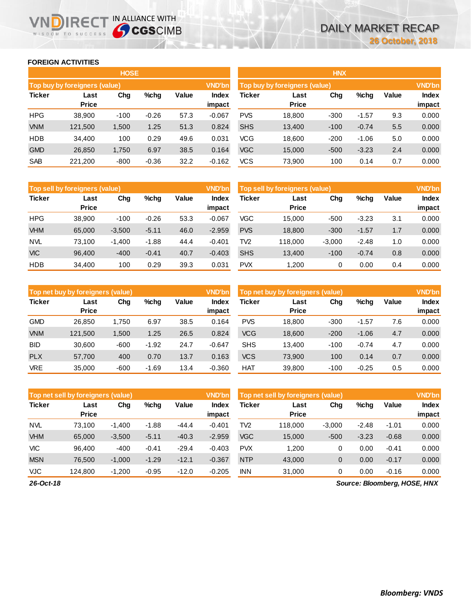## **FOREIGN ACTIVITIES**

WISDOM TO SUCCESS

JD

**IRECT IN ALLIANCE WITH** 

|               |                               | <b>HOSE</b> |         |       |                        |            |                               | <b>HNX</b> |         |       |                 |
|---------------|-------------------------------|-------------|---------|-------|------------------------|------------|-------------------------------|------------|---------|-------|-----------------|
|               | Top buy by foreigners (value) |             |         |       | <b>VND'bn</b>          |            | Top buy by foreigners (value) |            |         |       | <b>VND'bn</b>   |
| <b>Ticker</b> | Last<br><b>Price</b>          | Chg         | $%$ chg | Value | <b>Index</b><br>impact | Ticker     | Last<br><b>Price</b>          | Chg        | %chg    | Value | Index<br>impact |
| <b>HPG</b>    | 38,900                        | $-100$      | $-0.26$ | 57.3  | $-0.067$               | <b>PVS</b> | 18,800                        | $-300$     | $-1.57$ | 9.3   | 0.000           |
| <b>VNM</b>    | 121,500                       | 1,500       | 1.25    | 51.3  | 0.824                  | <b>SHS</b> | 13,400                        | $-100$     | $-0.74$ | 5.5   | 0.000           |
| <b>HDB</b>    | 34,400                        | 100         | 0.29    | 49.6  | 0.031                  | <b>VCG</b> | 18,600                        | $-200$     | $-1.06$ | 5.0   | 0.000           |
| <b>GMD</b>    | 26,850                        | 1,750       | 6.97    | 38.5  | 0.164                  | <b>VGC</b> | 15,000                        | $-500$     | $-3.23$ | 2.4   | 0.000           |
| <b>SAB</b>    | 221,200                       | $-800$      | $-0.36$ | 32.2  | $-0.162$               | <b>VCS</b> | 73,900                        | 100        | 0.14    | 0.7   | 0.000           |

| Top sell by foreigners (value) |                      |          |         |       | <b>VND'bn</b>   | Top sell by foreigners (value) |                      | <b>VND'bn</b> |         |       |                 |
|--------------------------------|----------------------|----------|---------|-------|-----------------|--------------------------------|----------------------|---------------|---------|-------|-----------------|
| <b>Ticker</b>                  | Last<br><b>Price</b> | Chg      | $%$ chg | Value | Index<br>impact | <b>Ticker</b>                  | Last<br><b>Price</b> | Chg           | %chg    | Value | Index<br>impact |
| <b>HPG</b>                     | 38.900               | $-100$   | $-0.26$ | 53.3  | $-0.067$        | <b>VGC</b>                     | 15.000               | $-500$        | $-3.23$ | 3.1   | 0.000           |
| <b>VHM</b>                     | 65,000               | $-3,500$ | $-5.11$ | 46.0  | $-2.959$        | <b>PVS</b>                     | 18,800               | $-300$        | $-1.57$ | 1.7   | 0.000           |
| <b>NVL</b>                     | 73.100               | $-1,400$ | $-1.88$ | 44.4  | $-0.401$        | TV <sub>2</sub>                | 118.000              | $-3,000$      | $-2.48$ | 1.0   | 0.000           |
| <b>VIC</b>                     | 96.400               | $-400$   | $-0.41$ | 40.7  | $-0.403$        | <b>SHS</b>                     | 13,400               | $-100$        | $-0.74$ | 0.8   | 0.000           |
| <b>HDB</b>                     | 34.400               | 100      | 0.29    | 39.3  | 0.031           | <b>PVX</b>                     | 1.200                | 0             | 0.00    | 0.4   | 0.000           |

|               | Top net buy by foreigners (value) |        |         |       | <b>VND'bn</b><br>Top net buy by foreigners (value) |            |              |        |         |       |        |  |
|---------------|-----------------------------------|--------|---------|-------|----------------------------------------------------|------------|--------------|--------|---------|-------|--------|--|
| <b>Ticker</b> | Last                              | Chg    | %chg    | Value | <b>Index</b>                                       | Ticker     | Last         | Chg    | %chg    | Value | Index  |  |
|               | <b>Price</b>                      |        |         |       | impact                                             |            | <b>Price</b> |        |         |       | impact |  |
| <b>GMD</b>    | 26,850                            | 1.750  | 6.97    | 38.5  | 0.164                                              | <b>PVS</b> | 18.800       | $-300$ | $-1.57$ | 7.6   | 0.000  |  |
| <b>VNM</b>    | 121,500                           | 1,500  | 1.25    | 26.5  | 0.824                                              | <b>VCG</b> | 18,600       | $-200$ | $-1.06$ | 4.7   | 0.000  |  |
| <b>BID</b>    | 30,600                            | $-600$ | $-1.92$ | 24.7  | $-0.647$                                           | <b>SHS</b> | 13.400       | $-100$ | $-0.74$ | 4.7   | 0.000  |  |
| <b>PLX</b>    | 57,700                            | 400    | 0.70    | 13.7  | 0.163                                              | <b>VCS</b> | 73,900       | 100    | 0.14    | 0.7   | 0.000  |  |
| <b>VRE</b>    | 35,000                            | $-600$ | $-1.69$ | 13.4  | $-0.360$                                           | HAT        | 39,800       | $-100$ | $-0.25$ | 0.5   | 0.000  |  |

|               | Top net sell by foreigners (value) |          |         |         | <b>VND'bn</b>          | Top net sell by foreigners (value) |                      | <b>VND'bn</b> |         |         |                 |
|---------------|------------------------------------|----------|---------|---------|------------------------|------------------------------------|----------------------|---------------|---------|---------|-----------------|
| <b>Ticker</b> | Last<br><b>Price</b>               | Chg      | $%$ chg | Value   | <b>Index</b><br>impact | <b>Ticker</b>                      | Last<br><b>Price</b> | Chg           | %chg    | Value   | Index<br>impact |
| <b>NVL</b>    | 73.100                             | $-1,400$ | $-1.88$ | $-44.4$ | $-0.401$               | TV <sub>2</sub>                    | 118,000              | $-3,000$      | $-2.48$ | $-1.01$ | 0.000           |
| <b>VHM</b>    | 65,000                             | $-3,500$ | $-5.11$ | $-40.3$ | $-2.959$               | <b>VGC</b>                         | 15,000               | $-500$        | $-3.23$ | $-0.68$ | 0.000           |
| <b>VIC</b>    | 96.400                             | $-400$   | $-0.41$ | $-29.4$ | $-0.403$               | <b>PVX</b>                         | 1.200                | 0             | 0.00    | $-0.41$ | 0.000           |
| <b>MSN</b>    | 76.500                             | $-1,000$ | $-1.29$ | $-12.1$ | $-0.367$               | <b>NTP</b>                         | 43,000               | 0             | 0.00    | $-0.17$ | 0.000           |
| <b>VJC</b>    | 124.800                            | $-1,200$ | $-0.95$ | $-12.0$ | $-0.205$               | <b>INN</b>                         | 31,000               | 0             | 0.00    | $-0.16$ | 0.000           |

*26-Oct-18*

*Source: Bloomberg, HOSE, HNX*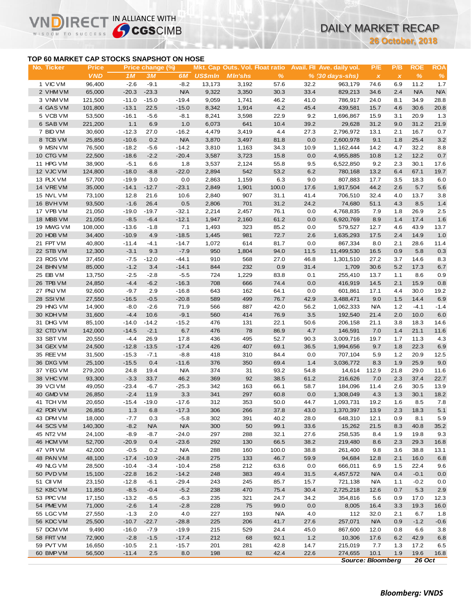# DAILY MARKET RECAP

**26 October, 2018**

## **TOP 60 MARKET CAP STOCKS SNAPSHOT ON HOSE**

**IRE** 

IN ALLIANCE WITH

|                                           |                    |                    |                  |                    |                |                |                                        |              |                            |                           | <b>26 October, 2018</b> |                          |              |
|-------------------------------------------|--------------------|--------------------|------------------|--------------------|----------------|----------------|----------------------------------------|--------------|----------------------------|---------------------------|-------------------------|--------------------------|--------------|
| TOP 60 MARKET CAP STOCKS SNAPSHOT ON HOSE |                    |                    |                  |                    |                |                |                                        |              |                            |                           |                         |                          |              |
| No. Ticker                                | <b>Price</b>       |                    | Price change (%) |                    |                |                | <b>Mkt. Cap Outs. Vol. Float ratio</b> |              | Avail. Fil Ave. daily vol. | P/E                       | P/B                     | <b>ROE</b>               | <b>ROA</b>   |
|                                           | <b>VND</b>         | 1M                 | 3M               | 6M                 | <b>US\$mln</b> | <b>MIn'shs</b> | $\%$                                   |              | % (30 days-shs)            | $\boldsymbol{\mathsf{X}}$ | $\pmb{\chi}$            | $\frac{9}{6}$            | $\%$         |
| 1 VIC VM                                  | 96,400             | $-2.6$             | $-9.1$           | $-8.2$             | 13,173         | 3,192          | 57.6                                   | 32.2         | 963,179                    | 74.6                      | 6.9                     | 11.2                     | 1.7          |
| 2 VHM VM                                  | 65,000             | $-20.3$            | $-23.3$          | <b>N/A</b>         | 9,322          | 3,350          | 30.3                                   | 33.4         | 829,213                    | 34.6                      | 2.4                     | <b>N/A</b>               | <b>N/A</b>   |
| 3 VNM VM<br>4 GAS VM                      | 121,500<br>101,800 | $-11.0$<br>$-13.1$ | $-15.0$<br>22.5  | $-19.4$<br>$-15.0$ | 9,059<br>8,342 | 1,741<br>1,914 | 46.2<br>4.2                            | 41.0<br>45.4 | 786,917<br>439,581         | 24.0<br>15.7              | 8.1<br>4.6              | 34.9<br>30.6             | 28.8<br>20.8 |
| 5 VCB VM                                  | 53,500             | $-16.1$            | $-5.6$           | $-8.1$             | 8,241          | 3,598          | 22.9                                   | 9.2          | 1,696,867                  | 15.9                      | 3.1                     | 20.9                     | 1.3          |
| 6 SAB VM                                  | 221,200            | 1.1                | 6.9              | 1.0                | 6,073          | 641            | 10.4                                   | 39.2         | 29,628                     | 31.2                      | 9.0                     | 31.2                     | 21.9         |
| 7 BID VM                                  | 30,600             | $-12.3$            | 27.0             | $-16.2$            | 4,479          | 3,419          | 4.4                                    | 27.3         | 2,796,972                  | 13.1                      | 2.1                     | 16.7                     | 0.7          |
| 8 TCB VM                                  | 25,850             | $-10.6$            | 0.2              | <b>N/A</b>         | 3,870          | 3,497          | 81.8                                   | 0.0          | 2,600,978                  | 9.1                       | 1.8                     | 25.4                     | $3.2\,$      |
| 9 MSN VM                                  | 76,500             | $-18.2$            | $-5.6$           | $-14.2$            | 3,810          | 1,163          | 34.3                                   | 10.9         | 1,162,444                  | 14.2                      | 4.7                     | 32.2                     | 8.8          |
| 10 CTG VM                                 | 22,500             | $-18.6$            | $-2.2$           | $-20.4$            | 3,587          | 3,723          | 15.8                                   | 0.0          | 4,955,885                  | 10.8                      | 1.2                     | 12.2                     | 0.7          |
| 11 HPG VM                                 | 38,900             | $-5.1$             | 6.6              | 1.8                | 3,537          | 2,124          | 55.8                                   | 9.5          | 6,522,850                  | 9.2                       | 2.3                     | 30.1                     | 17.6         |
| 12 VJC VM                                 | 124,800            | $-18.0$            | $-8.8$           | $-22.0$            | 2,894          | 542            | 53.2                                   | 6.2          | 780,168                    | 13.2                      | 6.4                     | 67.1                     | 19.7         |
| 13 PLX VM                                 | 57,700             | $-19.9$            | 3.0              | 0.0                | 2,863          | 1,159          | 6.3                                    | 9.0          | 807,883                    | 17.7                      | 3.5                     | 18.3                     | 6.0          |
| 14 VRE VM                                 | 35,000             | $-14.1$            | $-12.7$          | $-23.1$            | 2,849          | 1,901          | 100.0                                  | 17.6         | 1,917,504                  | 44.2                      | 2.6                     | 5.7                      | 5.6          |
| 15 NVL VM<br>16 BVH VM                    | 73,100<br>93,500   | 12.8<br>$-1.6$     | 21.6<br>26.4     | 10.6<br>0.5        | 2,840<br>2,806 | 907<br>701     | 31.1<br>31.2                           | 41.4<br>24.2 | 706,510<br>74,680          | 32.4<br>51.1              | 4.0<br>4.3              | 13.7<br>8.5              | 3.8<br>1.4   |
| 17 VPB VM                                 | 21,050             | $-19.0$            | $-19.7$          | $-32.1$            | 2,214          | 2,457          | 76.1                                   | 0.0          | 4,768,835                  | 7.9                       | 1.8                     | 26.9                     | 2.5          |
| 18 MBB VM                                 | 21,050             | $-8.5$             | $-6.4$           | $-12.1$            | 1,947          | 2,160          | 61.2                                   | 0.0          | 6,920,769                  | 8.9                       | 1.4                     | 17.4                     | 1.6          |
| 19 MWG VM                                 | 108,000            | $-13.6$            | $-1.8$           | 7.1                | 1,493          | 323            | 85.2                                   | 0.0          | 579,527                    | 12.7                      | 4.6                     | 43.9                     | 13.7         |
| 20 HDB VM                                 | 34,400             | $-10.9$            | 4.9              | $-18.5$            | 1,445          | 981            | 72.7                                   | 2.6          | 1,635,293                  | 17.5                      | 2.4                     | 14.9                     | 1.0          |
| 21 FPT VM                                 | 40,800             | $-11.4$            | $-4.1$           | $-14.7$            | 1,072          | 614            | 81.7                                   | 0.0          | 867,334                    | 8.0                       | 2.1                     | 28.6                     | 11.4         |
| 22 STB VM                                 | 12,300             | $-3.1$             | 9.3              | $-7.9$             | 950            | 1,804          | 94.0                                   | 11.5         | 11,499,530                 | 16.5                      | 0.9                     | 5.8                      | 0.3          |
| 23 ROS VM                                 | 37,450             | $-7.5$             | $-12.0$          | $-44.1$            | 910            | 568            | 27.0                                   | 46.8         | 1,301,510                  | 27.2                      | 3.7                     | 14.6                     | 8.3          |
| 24 BHN VM                                 | 85,000             | $-1.2$             | 3.4              | $-14.1$            | 844            | 232            | 0.9                                    | 31.4         | 1,709                      | 30.6                      | 5.2                     | 17.3                     | 6.7          |
| 25 EIB VM                                 | 13,750             | $-2.5$             | $-2.8$           | $-5.5$             | 724            | 1,229          | 83.8                                   | 0.1          | 255,410                    | 13.7                      | 1.1                     | 8.6                      | 0.9          |
| 26 TPB VM                                 | 24,850             | $-4.4$             | $-6.2$           | $-16.3$            | 708            | 666            | 74.4                                   | 0.0          | 416,919                    | 14.5                      | 2.1                     | 15.9                     | 0.8          |
| 27 PNJ VM                                 | 92,600             | $-9.7$             | 2.9              | $-16.8$            | 643            | 162            | 64.1                                   | 0.0          | 601,861                    | 17.1                      | 4.4                     | 30.0                     | 19.2         |
| 28 SSIVM                                  | 27,550             | $-16.5$            | $-0.5$           | $-20.8$            | 589            | 499            | 76.7                                   | 42.9         | 3,488,471                  | 9.0                       | 1.5                     | 14.4                     | 6.9          |
| 29 HNG VM                                 | 14,900             | $-8.0$             | $-2.6$           | 71.9               | 566            | 887            | 42.0                                   | 56.2         | 1,062,333                  | <b>N/A</b>                | 1.2                     | $-4.1$                   | $-1.4$       |
| 30 KDH VM<br>31 DHG VM                    | 31,600<br>85,100   | $-4.4$<br>$-14.0$  | 10.6<br>$-14.2$  | $-9.1$<br>$-15.2$  | 560<br>476     | 414<br>131     | 76.9<br>22.1                           | 3.5          | 192,540                    | 21.4<br>21.1              | 2.0<br>3.8              | 10.0<br>18.3             | 6.0<br>14.6  |
| 32 CTD VM                                 | 142,000            | $-14.5$            | $-2.1$           | 6.7                | 476            | 78             | 86.9                                   | 50.6<br>4.7  | 206,158<br>146,591         | 7.0                       | 1.4                     | 21.1                     | 11.6         |
| 33 SBT VM                                 | 20,550             | $-4.4$             | 26.9             | 17.8               | 436            | 495            | 52.7                                   | 90.3         | 3,009,716                  | 19.7                      | 1.7                     | 11.3                     | 4.3          |
| 34 GEX VM                                 | 24,500             | $-12.8$            | $-13.5$          | $-17.4$            | 426            | 407            | 69.1                                   | 36.5         | 1,994,656                  | 9.7                       | 1.8                     | 22.3                     | 6.9          |
| 35 REE VM                                 | 31,500             | $-15.3$            | $-7.1$           | $-8.8$             | 418            | 310            | 84.4                                   | 0.0          | 707,104                    | 5.9                       | 1.2                     | 20.9                     | 12.5         |
| 36 DXG VM                                 | 25,100             | $-15.5$            | 0.4              | $-11.6$            | 376            | 350            | 69.4                                   | 1.4          | 3,036,772                  | 8.3                       | 1.9                     | 25.9                     | 9.0          |
| 37 YEG VM                                 | 279,200            | 24.8               | 19.4             | <b>N/A</b>         | 374            | 31             | 93.2                                   | 54.8         | 14,614                     | 112.9                     | 21.8                    | 29.0                     | 11.6         |
| 38 VHC VM                                 | 93,300             | $-3.3$             | 33.7             | 46.2               | 369            | 92             | 38.5                                   | 61.2         | 216,626                    | 7.0                       | 2.3                     | 37.4                     | 22.7         |
| 39 VCIVM                                  | 49,050             | $-23.4$            | $-6.7$           | $-25.3$            | 342            | 163            | 66.1                                   | 58.7         | 184,096                    | 11.4                      | 2.6                     | 30.5                     | 13.9         |
| 40 GMD VM                                 | 26,850             | $-2.4$             | 11.9             | 3.3                | 341            | 297            | 60.8                                   | 0.0          | 1,308,049                  | 4.3                       | 1.3                     | 30.1                     | 18.2         |
| 41 TCH VM                                 | 20,650             | -15.4              | $-19.0$          | $-17.6$            | 312            | 353            | 50.0                                   | 44.7         | 1,093,731                  | 19.2                      | 1.6                     | 8.5                      | 7.8          |
| 42 PDR VM                                 | 26,850             | 1.3                | 6.8              | $-17.3$            | 306            | 266            | 37.8                                   | 43.0         | 1,370,397                  | 13.9                      | 2.3                     | 18.3                     | 5.1          |
| 43 DPM VM                                 | 18,000             | $-7.7$             | 0.3              | $-5.8$             | 302            | 391            | 40.2                                   | 28.0         | 648,310                    | 12.1                      | 0.9                     | 8.1                      | 5.9          |
| 44 SCS VM                                 | 140,300            | $-8.2$             | <b>N/A</b>       | <b>N/A</b>         | 300            | 50             | 99.1                                   | 33.6         | 15,262                     | 21.5                      | 8.3                     | 40.8                     | 35.2         |
| 45 NT2 VM<br>46 HCM VM                    | 24,100<br>52,700   | $-8.9$<br>$-20.9$  | $-8.7$<br>0.4    | $-24.0$<br>$-23.6$ | 297<br>292     | 288<br>130     | 32.1<br>66.5                           | 27.6<br>38.2 | 258,535<br>219,480         | 8.4                       | 1.9                     | 19.8<br>29.3             | 9.3          |
| 47 VPIVM                                  | 42,000             | $-0.5$             | 0.2              | <b>N/A</b>         | 288            | 160            | 100.0                                  | 38.8         | 261,400                    | 8.6<br>9.8                | 2.3<br>3.6              | 38.8                     | 16.8<br>13.1 |
| 48 PAN VM                                 | 48,100             | $-17.4$            | $-10.9$          | $-24.8$            | 275            | 133            | 46.7                                   | 59.9         | 94,684                     | 12.8                      | 2.1                     | 16.0                     | 6.8          |
| 49 NLG VM                                 | 28,500             | $-10.4$            | $-3.4$           | $-10.4$            | 258            | 212            | 63.6                                   | 0.0          | 666,011                    | 6.9                       | 1.5                     | 22.4                     | 9.6          |
| 50 PVD VM                                 | 15,100             | $-22.8$            | 16.2             | $-14.2$            | 248            | 383            | 49.4                                   | 31.5         | 4,457,572                  | <b>N/A</b>                | 0.4                     | $-0.1$                   | 0.0          |
| 51 CII VM                                 | 23,150             | $-12.8$            | $-6.1$           | $-29.4$            | 243            | 245            | 85.7                                   | 15.7         | 721,138                    | N/A                       | 1.1                     | $-0.2$                   | 0.0          |
| 52 KBC VM                                 | 11,850             | $-8.5$             | $-0.4$           | $-5.2$             | 238            | 470            | 75.4                                   | 30.4         | 2,725,218                  | 12.6                      | 0.7                     | 5.3                      | 2.9          |
| 53 PPC VM                                 | 17,150             | $-13.2$            | -6.5             | $-6.3$             | 235            | 321            | 24.7                                   | 34.2         | 354,816                    | 5.6                       | 0.9                     | 17.0                     | 12.3         |
| 54 PME VM                                 | 71,000             | $-2.6$             | 1.4              | $-2.8$             | 228            | 75             | 99.0                                   | 0.0          | 8,005                      | 16.4                      | 3.3                     | 19.3                     | 16.0         |
| 55 LGC VM                                 | 27,550             | $-1.3$             | 2.0              | 4.0                | 227            | 193            | <b>N/A</b>                             | 4.0          | 112                        | 32.0                      | 2.1                     | 6.7                      | 1.8          |
| 56 KDC VM                                 | 25,500             | $-10.7$            | $-22.7$          | $-28.8$            | 225            | 206            | 41.7                                   | 27.6         | 257,071                    | <b>N/A</b>                | 0.9                     | $-1.2$                   | $-0.6$       |
| 57 DCM VM                                 | 9,490              | $-16.0$            | $-7.9$           | $-19.9$            | 215            | 529            | 24.4                                   | 45.0         | 867,600                    | 12.0                      | 0.8                     | 6.6                      | 3.8          |
| 58 FRT VM                                 | 72,900             | $-2.8$             | $-1.5$           | $-17.4$            | 212            | 68             | 92.1                                   | 1.2          | 10,306                     | 17.6                      | 6.2                     | 42.9                     | 6.8          |
| 59 PVT VM                                 | 16,650             | $-10.5$            | 2.1              | $-15.7$            | 201            | 281            | 42.8                                   | 14.7         | 215,019                    | 7.7                       | 1.3                     | 17.2                     | 6.5          |
| 60 BMP VM                                 | 56,500             | $-11.4$            | 2.5              | $8.0\,$            | 198            | 82             | 42.4                                   | 22.6         | 274,655                    | 10.1<br>Course: Pleambarg | 1.9                     | 19.6<br>260 <sub>0</sub> | 16.8         |

*Source: Bloomberg 26 Oct*